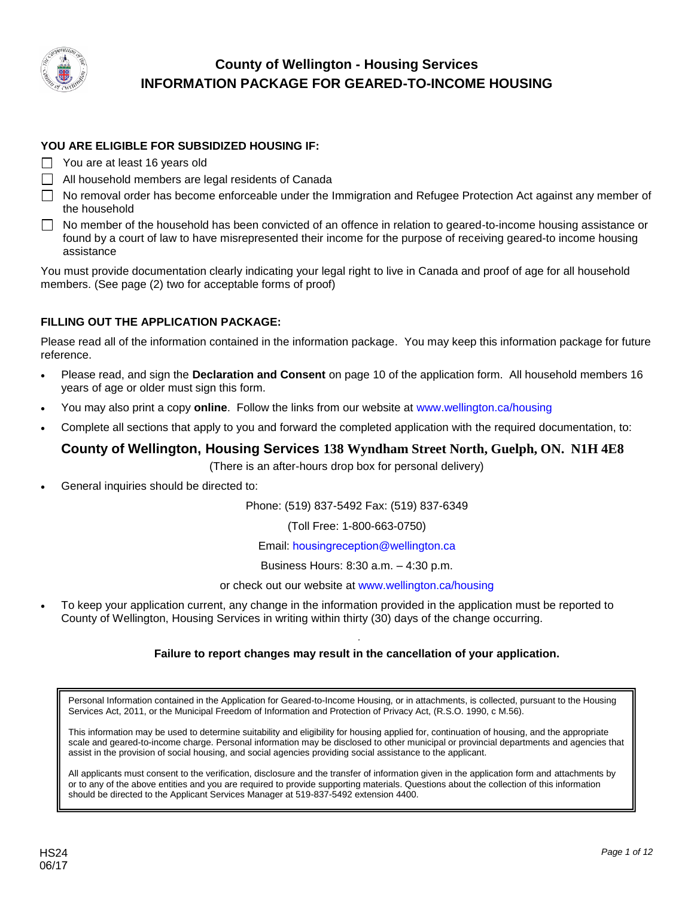

### **YOU ARE ELIGIBLE FOR SUBSIDIZED HOUSING IF:**

- You are at least 16 years old
- $\Box$  All household members are legal residents of Canada
- No removal order has become enforceable under the Immigration and Refugee Protection Act against any member of the household
- No member of the household has been convicted of an offence in relation to geared-to-income housing assistance or found by a court of law to have misrepresented their income for the purpose of receiving geared-to income housing assistance

You must provide documentation clearly indicating your legal right to live in Canada and proof of age for all household members. (See page (2) two for acceptable forms of proof)

#### **FILLING OUT THE APPLICATION PACKAGE:**

Please read all of the information contained in the information package. You may keep this information package for future reference.

- Please read, and sign the **Declaration and Consent** on page 10 of the application form. All household members 16 years of age or older must sign this form.
- You may also print a copy **online**. Follow the links from our website at [www.wellington.ca/housing](http://www.county.wellington.on.ca/housing.htm)
- Complete all sections that apply to you and forward the completed application with the required documentation, to:

## **County of Wellington, Housing Services 138 Wyndham Street North, Guelph, ON. N1H 4E8**

(There is an after-hours drop box for personal delivery)

General inquiries should be directed to:

Phone: (519) 837-5492 Fax: (519) 837-6349

(Toll Free: 1-800-663-0750)

Email: ho[usingreception](mailto:cwhsinfo@wellington.ca)@wellington.ca

Business Hours: 8:30 a.m. – 4:30 p.m.

or check out our website at **[www.wellington.ca](http://www.wellington.cat/housing.htm)/housing** 

 To keep your application current, any change in the information provided in the application must be reported to County of Wellington, Housing Services in writing within thirty (30) days of the change occurring.

## *U* **Failure to report changes may result in the cancellation of your application.**

Personal Information contained in the Application for Geared-to-Income Housing, or in attachments, is collected, pursuant to the Housing Services Act, 2011, or the Municipal Freedom of Information and Protection of Privacy Act, (R.S.O. 1990, c M.56).

This information may be used to determine suitability and eligibility for housing applied for, continuation of housing, and the appropriate scale and geared-to-income charge. Personal information may be disclosed to other municipal or provincial departments and agencies that assist in the provision of social housing, and social agencies providing social assistance to the applicant.

All applicants must consent to the verification, disclosure and the transfer of information given in the application form and attachments by or to any of the above entities and you are required to provide supporting materials. Questions about the collection of this information should be directed to the Applicant Services Manager at 519-837-5492 extension 4400.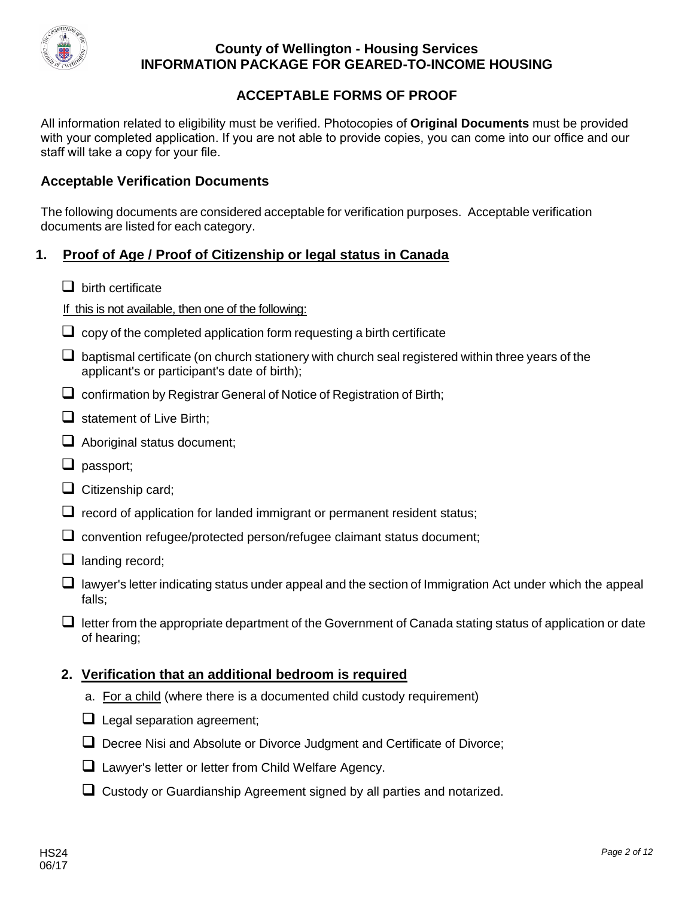

## **ACCEPTABLE FORMS OF PROOF**

All information related to eligibility must be verified. Photocopies of **Original Documents** must be provided with your completed application. If you are not able to provide copies, you can come into our office and our staff will take a copy for your file.

## **Acceptable Verification Documents**

The following documents are considered acceptable for verification purposes. Acceptable verification documents are listed for each category.

## **1. Proof of Age / Proof of Citizenship or legal status in Canada**

 $\Box$  birth certificate

If this is not available, then one of the following:

- $\Box$  copy of the completed application form requesting a birth certificate
- $\Box$  baptismal certificate (on church stationery with church seal registered within three years of the applicant's or participant's date of birth);
- $\Box$  confirmation by Registrar General of Notice of Registration of Birth;
- $\Box$  statement of Live Birth;
- $\Box$  Aboriginal status document;
- $\Box$  passport;
- $\Box$  Citizenship card:
- $\Box$  record of application for landed immigrant or permanent resident status;
- $\Box$  convention refugee/protected person/refugee claimant status document;
- $\Box$  landing record;
- $\Box$  lawyer's letter indicating status under appeal and the section of Immigration Act under which the appeal falls;
- $\Box$  letter from the appropriate department of the Government of Canada stating status of application or date of hearing;

## **2. Verification that an additional bedroom is required**

- a. For a child (where there is a documented child custody requirement)
- $\Box$  Legal separation agreement;
- $\Box$  Decree Nisi and Absolute or Divorce Judgment and Certificate of Divorce;
- □ Lawyer's letter or letter from Child Welfare Agency.
- $\Box$  Custody or Guardianship Agreement signed by all parties and notarized.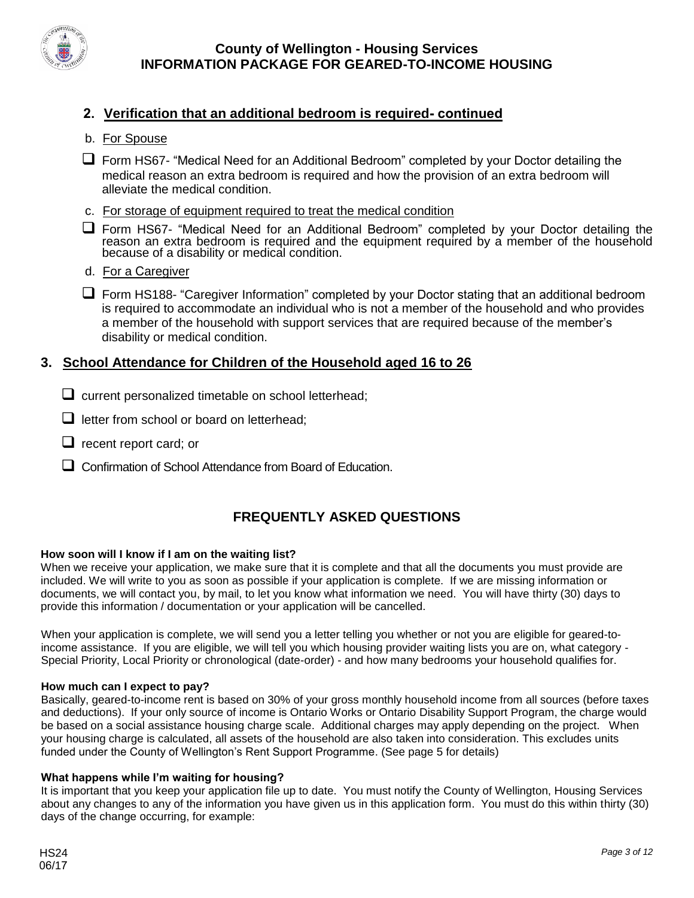

## **2. Verification that an additional bedroom is required- continued**

- b. For Spouse
- Form HS67- "Medical Need for an Additional Bedroom" completed by your Doctor detailing the medical reason an extra bedroom is required and how the provision of an extra bedroom will alleviate the medical condition.
- c. For storage of equipment required to treat the medical condition
- Form HS67- "Medical Need for an Additional Bedroom" completed by your Doctor detailing the reason an extra bedroom is required and the equipment required by a member of the household because of a disability or medical condition.
- d. For a Caregiver
- $\Box$  Form HS188- "Caregiver Information" completed by your Doctor stating that an additional bedroom is required to accommodate an individual who is not a member of the household and who provides a member of the household with support services that are required because of the member's disability or medical condition.

## **3. School Attendance for Children of the Household aged 16 to 26**

- $\Box$  current personalized timetable on school letterhead;
- $\Box$  letter from school or board on letterhead;
- $\Box$  recent report card; or
- Confirmation of School Attendance from Board of Education.

## **FREQUENTLY ASKED QUESTIONS**

#### **How soon will I know if I am on the waiting list?**

When we receive your application, we make sure that it is complete and that all the documents you must provide are included. We will write to you as soon as possible if your application is complete. If we are missing information or documents, we will contact you, by mail, to let you know what information we need. You will have thirty (30) days to provide this information / documentation or your application will be cancelled.

When your application is complete, we will send you a letter telling you whether or not you are eligible for geared-toincome assistance. If you are eligible, we will tell you which housing provider waiting lists you are on, what category - Special Priority, Local Priority or chronological (date-order) - and how many bedrooms your household qualifies for.

#### **How much can I expect to pay?**

Basically, geared-to-income rent is based on 30% of your gross monthly household income from all sources (before taxes and deductions). If your only source of income is Ontario Works or Ontario Disability Support Program, the charge would be based on a social assistance housing charge scale. Additional charges may apply depending on the project. When your housing charge is calculated, all assets of the household are also taken into consideration. This excludes units funded under the County of Wellington's Rent Support Programme. (See page 5 for details)

#### **What happens while I'm waiting for housing?**

It is important that you keep your application file up to date. You must notify the County of Wellington, Housing Services about any changes to any of the information you have given us in this application form. You must do this within thirty (30) days of the change occurring, for example: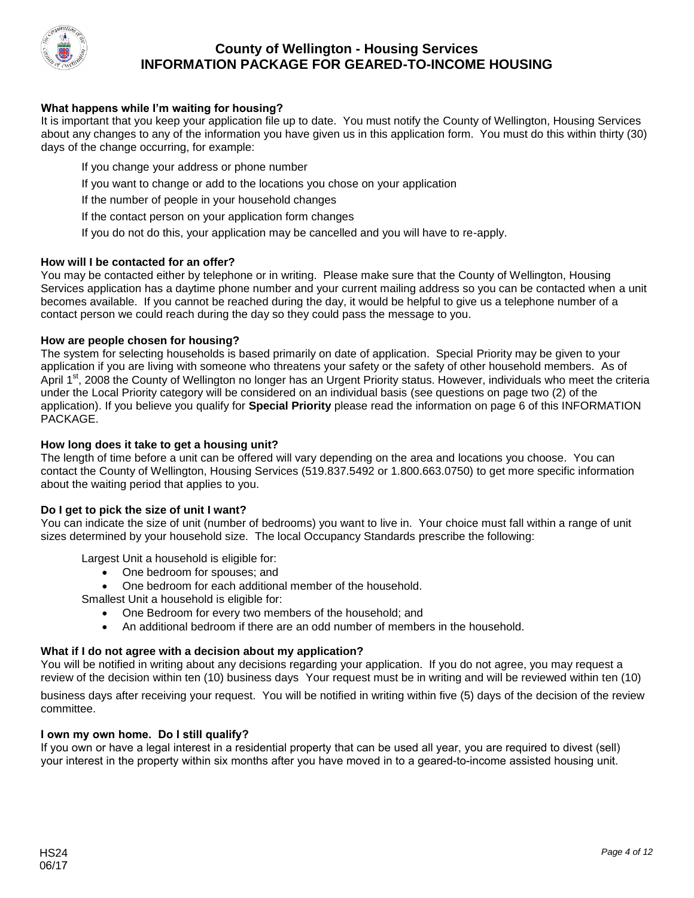

#### **What happens while I'm waiting for housing?**

It is important that you keep your application file up to date. You must notify the County of Wellington, Housing Services about any changes to any of the information you have given us in this application form. You must do this within thirty (30) days of the change occurring, for example:

- If you change your address or phone number
- If you want to change or add to the locations you chose on your application
- If the number of people in your household changes
- If the contact person on your application form changes
- If you do not do this, your application may be cancelled and you will have to re-apply.

#### **How will I be contacted for an offer?**

You may be contacted either by telephone or in writing. Please make sure that the County of Wellington, Housing Services application has a daytime phone number and your current mailing address so you can be contacted when a unit becomes available. If you cannot be reached during the day, it would be helpful to give us a telephone number of a contact person we could reach during the day so they could pass the message to you.

#### **How are people chosen for housing?**

The system for selecting households is based primarily on date of application. Special Priority may be given to your application if you are living with someone who threatens your safety or the safety of other household members. As of April 1<sup>st</sup>, 2008 the County of Wellington no longer has an Urgent Priority status. However, individuals who meet the criteria under the Local Priority category will be considered on an individual basis (see questions on page two (2) of the application). If you believe you qualify for **Special Priority** please read the information on page 6 of this INFORMATION PACKAGE.

#### **How long does it take to get a housing unit?**

The length of time before a unit can be offered will vary depending on the area and locations you choose. You can contact the County of Wellington, Housing Services (519.837.5492 or 1.800.663.0750) to get more specific information about the waiting period that applies to you.

#### **Do I get to pick the size of unit I want?**

You can indicate the size of unit (number of bedrooms) you want to live in. Your choice must fall within a range of unit sizes determined by your household size. The local Occupancy Standards prescribe the following:

Largest Unit a household is eligible for:

- One bedroom for spouses: and
- One bedroom for each additional member of the household.
- Smallest Unit a household is eligible for:
	- One Bedroom for every two members of the household; and
	- An additional bedroom if there are an odd number of members in the household.

#### **What if I do not agree with a decision about my application?**

You will be notified in writing about any decisions regarding your application. If you do not agree, you may request a review of the decision within ten (10) business days Your request must be in writing and will be reviewed within ten (10)

business days after receiving your request. You will be notified in writing within five (5) days of the decision of the review committee.

#### **I own my own home. Do I still qualify?**

If you own or have a legal interest in a residential property that can be used all year, you are required to divest (sell) your interest in the property within six months after you have moved in to a geared-to-income assisted housing unit.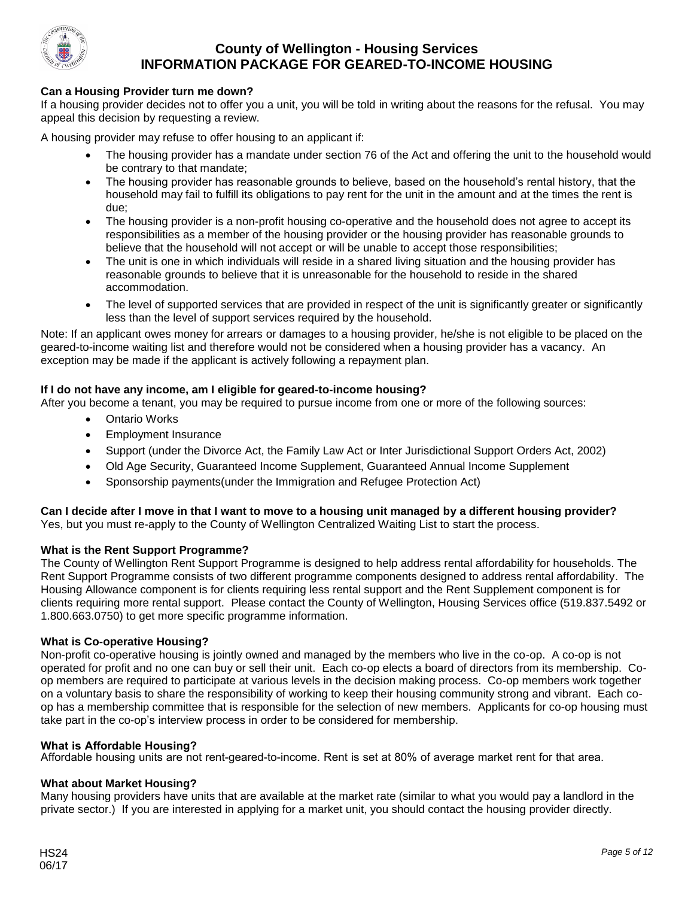

#### **Can a Housing Provider turn me down?**

If a housing provider decides not to offer you a unit, you will be told in writing about the reasons for the refusal. You may appeal this decision by requesting a review.

A housing provider may refuse to offer housing to an applicant if:

- The housing provider has a mandate under section 76 of the Act and offering the unit to the household would be contrary to that mandate;
- The housing provider has reasonable grounds to believe, based on the household's rental history, that the household may fail to fulfill its obligations to pay rent for the unit in the amount and at the times the rent is due;
- The housing provider is a non-profit housing co-operative and the household does not agree to accept its responsibilities as a member of the housing provider or the housing provider has reasonable grounds to believe that the household will not accept or will be unable to accept those responsibilities;
- The unit is one in which individuals will reside in a shared living situation and the housing provider has reasonable grounds to believe that it is unreasonable for the household to reside in the shared accommodation.
- The level of supported services that are provided in respect of the unit is significantly greater or significantly less than the level of support services required by the household.

Note: If an applicant owes money for arrears or damages to a housing provider, he/she is not eligible to be placed on the geared-to-income waiting list and therefore would not be considered when a housing provider has a vacancy. An exception may be made if the applicant is actively following a repayment plan.

#### **If I do not have any income, am I eligible for geared-to-income housing?**

After you become a tenant, you may be required to pursue income from one or more of the following sources:

- Ontario Works
- Employment Insurance
- Support (under the Divorce Act, the Family Law Act or Inter Jurisdictional Support Orders Act, 2002)
- Old Age Security, Guaranteed Income Supplement, Guaranteed Annual Income Supplement
- Sponsorship payments(under the Immigration and Refugee Protection Act)

#### **Can I decide after I move in that I want to move to a housing unit managed by a different housing provider?** Yes, but you must re-apply to the County of Wellington Centralized Waiting List to start the process.

#### **What is the Rent Support Programme?**

The County of Wellington Rent Support Programme is designed to help address rental affordability for households. The Rent Support Programme consists of two different programme components designed to address rental affordability. The Housing Allowance component is for clients requiring less rental support and the Rent Supplement component is for clients requiring more rental support. Please contact the County of Wellington, Housing Services office (519.837.5492 or 1.800.663.0750) to get more specific programme information.

#### **What is Co-operative Housing?**

Non-profit co-operative housing is jointly owned and managed by the members who live in the co-op. A co-op is not operated for profit and no one can buy or sell their unit. Each co-op elects a board of directors from its membership. Coop members are required to participate at various levels in the decision making process. Co-op members work together on a voluntary basis to share the responsibility of working to keep their housing community strong and vibrant. Each coop has a membership committee that is responsible for the selection of new members. Applicants for co-op housing must take part in the co-op's interview process in order to be considered for membership.

#### **What is Affordable Housing?**

Affordable housing units are not rent-geared-to-income. Rent is set at 80% of average market rent for that area.

#### **What about Market Housing?**

Many housing providers have units that are available at the market rate (similar to what you would pay a landlord in the private sector.) If you are interested in applying for a market unit, you should contact the housing provider directly.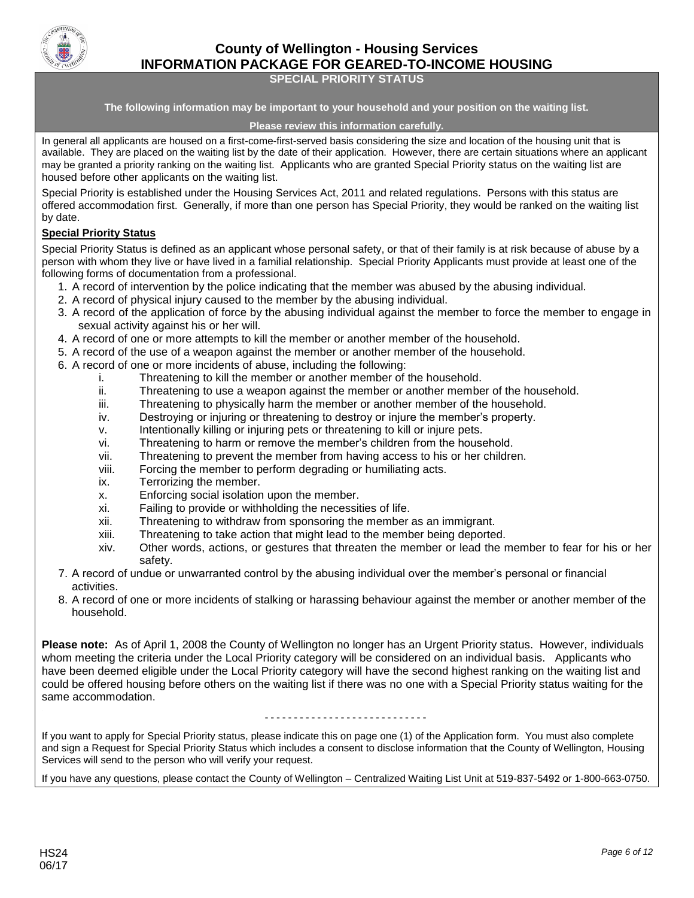

#### **SPECIAL PRIORITY STATUS**

**The following information may be important to your household and your position on the waiting list.**

#### **Please review this information carefully.**

In general all applicants are housed on a first-come-first-served basis considering the size and location of the housing unit that is available. They are placed on the waiting list by the date of their application. However, there are certain situations where an applicant may be granted a priority ranking on the waiting list. Applicants who are granted Special Priority status on the waiting list are housed before other applicants on the waiting list.

Special Priority is established under the Housing Services Act, 2011 and related regulations. Persons with this status are offered accommodation first. Generally, if more than one person has Special Priority, they would be ranked on the waiting list by date.

#### **Special Priority Status**

Special Priority Status is defined as an applicant whose personal safety, or that of their family is at risk because of abuse by a person with whom they live or have lived in a familial relationship. Special Priority Applicants must provide at least one of the following forms of documentation from a professional.

- 1. A record of intervention by the police indicating that the member was abused by the abusing individual.
- 2. A record of physical injury caused to the member by the abusing individual.
- 3. A record of the application of force by the abusing individual against the member to force the member to engage in sexual activity against his or her will.
- 4. A record of one or more attempts to kill the member or another member of the household.
- 5. A record of the use of a weapon against the member or another member of the household.
- 6. A record of one or more incidents of abuse, including the following:
	- i. Threatening to kill the member or another member of the household.
	- ii. Threatening to use a weapon against the member or another member of the household.
	- iii. Threatening to physically harm the member or another member of the household.
	- iv. Destroying or injuring or threatening to destroy or injure the member's property.
	- v. Intentionally killing or injuring pets or threatening to kill or injure pets.
	- vi. Threatening to harm or remove the member's children from the household.
	- vii. Threatening to prevent the member from having access to his or her children.
	- viii. Forcing the member to perform degrading or humiliating acts.
	- ix. Terrorizing the member.
	- x. Enforcing social isolation upon the member.
	- xi. Failing to provide or withholding the necessities of life.
	- xii. Threatening to withdraw from sponsoring the member as an immigrant.
	- xiii. Threatening to take action that might lead to the member being deported.
	- xiv. Other words, actions, or gestures that threaten the member or lead the member to fear for his or her safety.
- 7. A record of undue or unwarranted control by the abusing individual over the member's personal or financial activities.
- 8. A record of one or more incidents of stalking or harassing behaviour against the member or another member of the household.

**Please note:** As of April 1, 2008 the County of Wellington no longer has an Urgent Priority status. However, individuals whom meeting the criteria under the Local Priority category will be considered on an individual basis. Applicants who have been deemed eligible under the Local Priority category will have the second highest ranking on the waiting list and could be offered housing before others on the waiting list if there was no one with a Special Priority status waiting for the same accommodation.

#### ----------------------------

If you want to apply for Special Priority status, please indicate this on page one (1) of the Application form. You must also complete and sign a Request for Special Priority Status which includes a consent to disclose information that the County of Wellington, Housing Services will send to the person who will verify your request.

If you have any questions, please contact the County of Wellington – Centralized Waiting List Unit at 519-837-5492 or 1-800-663-0750.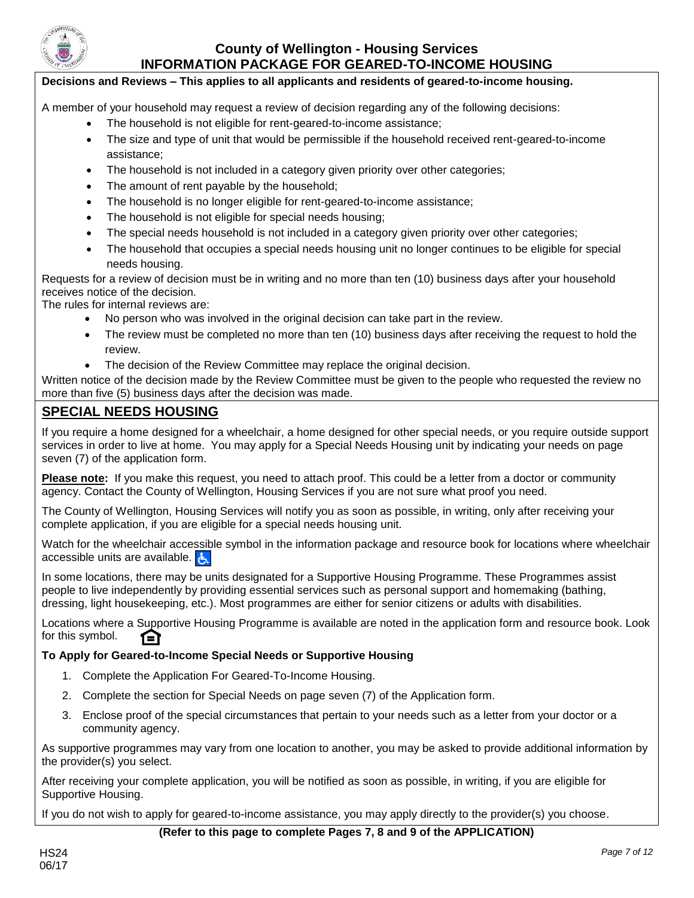

### **Decisions and Reviews – This applies to all applicants and residents of geared-to-income housing.**

A member of your household may request a review of decision regarding any of the following decisions:

- The household is not eligible for rent-geared-to-income assistance;
- The size and type of unit that would be permissible if the household received rent-geared-to-income assistance;
- The household is not included in a category given priority over other categories;
- The amount of rent payable by the household;
- The household is no longer eligible for rent-geared-to-income assistance;
- The household is not eligible for special needs housing;
- The special needs household is not included in a category given priority over other categories;
- The household that occupies a special needs housing unit no longer continues to be eligible for special needs housing.

Requests for a review of decision must be in writing and no more than ten (10) business days after your household receives notice of the decision.

The rules for internal reviews are:

- No person who was involved in the original decision can take part in the review.
- The review must be completed no more than ten (10) business days after receiving the request to hold the review.
- The decision of the Review Committee may replace the original decision.

Written notice of the decision made by the Review Committee must be given to the people who requested the review no more than five (5) business days after the decision was made.

## **SPECIAL NEEDS HOUSING**

If you require a home designed for a wheelchair, a home designed for other special needs, or you require outside support services in order to live at home. You may apply for a Special Needs Housing unit by indicating your needs on page seven (7) of the application form.

**Please note:** If you make this request, you need to attach proof. This could be a letter from a doctor or community agency. Contact the County of Wellington, Housing Services if you are not sure what proof you need.

The County of Wellington, Housing Services will notify you as soon as possible, in writing, only after receiving your complete application, if you are eligible for a special needs housing unit.

Watch for the wheelchair accessible symbol in the information package and resource book for locations where wheelchair accessible units are available.

In some locations, there may be units designated for a Supportive Housing Programme. These Programmes assist people to live independently by providing essential services such as personal support and homemaking (bathing, dressing, light housekeeping, etc.). Most programmes are either for senior citizens or adults with disabilities.

Locations where a Supportive Housing Programme is available are noted in the application form and resource book. Look for this symbol. ſΩ

#### **To Apply for Geared-to-Income Special Needs or Supportive Housing**

- 1. Complete the Application For Geared-To-Income Housing.
- 2. Complete the section for Special Needs on page seven (7) of the Application form.
- 3. Enclose proof of the special circumstances that pertain to your needs such as a letter from your doctor or a community agency.

As supportive programmes may vary from one location to another, you may be asked to provide additional information by the provider(s) you select.

After receiving your complete application, you will be notified as soon as possible, in writing, if you are eligible for Supportive Housing.

If you do not wish to apply for geared-to-income assistance, you may apply directly to the provider(s) you choose.

#### **(Refer to this page to complete Pages 7, 8 and 9 of the APPLICATION)**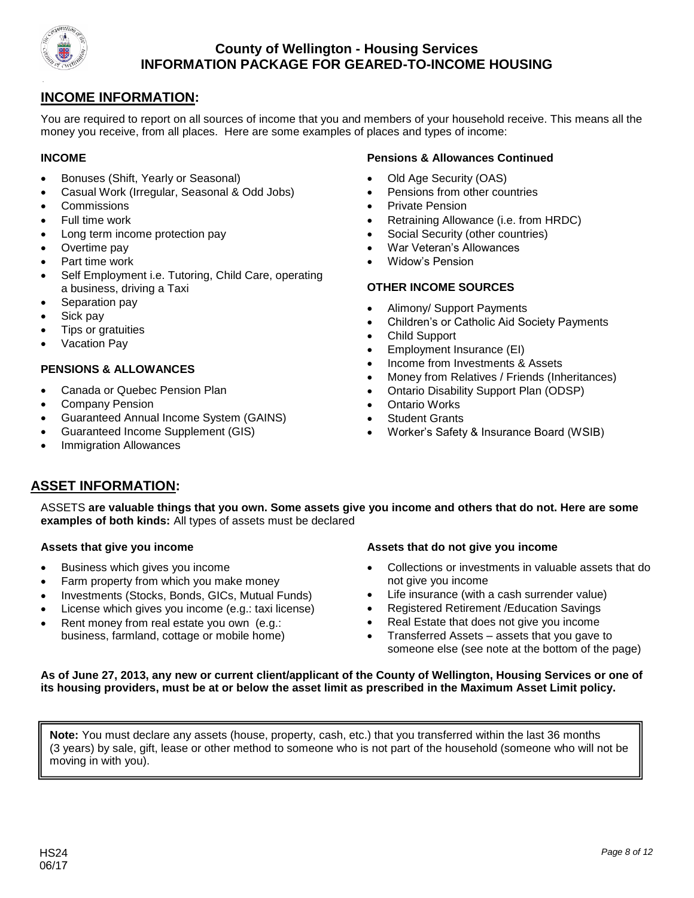

## **INCOME INFORMATION:**

You are required to report on all sources of income that you and members of your household receive. This means all the money you receive, from all places. Here are some examples of places and types of income:

#### **INCOME**

- Bonuses (Shift, Yearly or Seasonal)
- Casual Work (Irregular, Seasonal & Odd Jobs)
- **Commissions**
- Full time work
- Long term income protection pay
- Overtime pay
- Part time work
- Self Employment i.e. Tutoring, Child Care, operating a business, driving a Taxi
- Separation pay
- Sick pay
- Tips or gratuities
- Vacation Pay

#### **PENSIONS & ALLOWANCES**

- Canada or Quebec Pension Plan
- Company Pension
- Guaranteed Annual Income System (GAINS)
- Guaranteed Income Supplement (GIS)
- Immigration Allowances

#### **Pensions & Allowances Continued**

- Old Age Security (OAS)
- Pensions from other countries
- Private Pension
- Retraining Allowance (i.e. from HRDC)
- Social Security (other countries)
- War Veteran's Allowances
- Widow's Pension

### **OTHER INCOME SOURCES**

- Alimony/ Support Payments
- Children's or Catholic Aid Society Payments
- Child Support
- Employment Insurance (EI)
- Income from Investments & Assets
- Money from Relatives / Friends (Inheritances)
- Ontario Disability Support Plan (ODSP)
- Ontario Works
- Student Grants
- Worker's Safety & Insurance Board (WSIB)

## **ASSET INFORMATION:**

ASSETS **are valuable things that you own. Some assets give you income and others that do not. Here are some examples of both kinds:** All types of assets must be declared

#### **Assets that give you income**

- Business which gives you income
- Farm property from which you make money
- Investments (Stocks, Bonds, GICs, Mutual Funds)
- License which gives you income (e.g.: taxi license)
- Rent money from real estate you own (e.g.: business, farmland, cottage or mobile home)

#### **Assets that do not give you income**

- Collections or investments in valuable assets that do not give you income
- Life insurance (with a cash surrender value)
- Registered Retirement /Education Savings
- Real Estate that does not give you income
- Transferred Assets assets that you gave to someone else (see note at the bottom of the page)

**As of June 27, 2013, any new or current client/applicant of the County of Wellington, Housing Services or one of its housing providers, must be at or below the asset limit as prescribed in the Maximum Asset Limit policy.** 

**Note:** You must declare any assets (house, property, cash, etc.) that you transferred within the last 36 months (3 years) by sale, gift, lease or other method to someone who is not part of the household (someone who will not be moving in with you).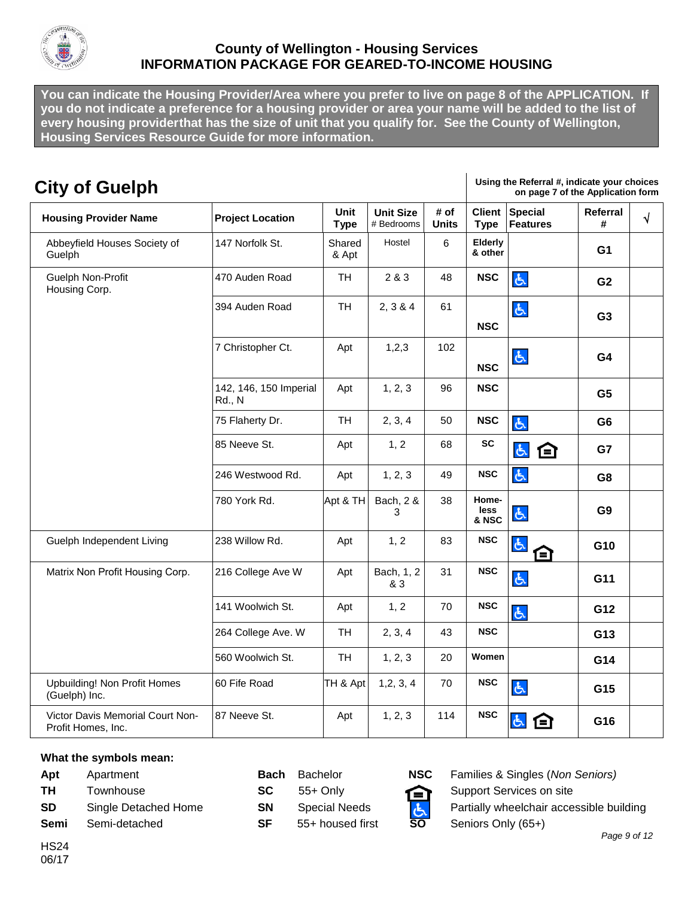

**You can indicate the Housing Provider/Area where you prefer to live on page 8 of the APPLICATION. If you do not indicate a preference for a housing provider or area your name will be added to the list of every housing providerthat has the size of unit that you qualify for. See the County of Wellington, Housing Services Resource Guide for more information.**

| <b>City of Guelph</b>                                  |                                         |                     |                                |                      |                                                                                    | Using the Referral #, indicate your choices<br>on page 7 of the Application form |                |  |  |
|--------------------------------------------------------|-----------------------------------------|---------------------|--------------------------------|----------------------|------------------------------------------------------------------------------------|----------------------------------------------------------------------------------|----------------|--|--|
| <b>Housing Provider Name</b>                           | <b>Project Location</b>                 | Unit<br><b>Type</b> | <b>Unit Size</b><br># Bedrooms | # of<br><b>Units</b> | <b>Client</b><br><b>Special</b><br>Referral<br><b>Features</b><br><b>Type</b><br># |                                                                                  |                |  |  |
| Abbeyfield Houses Society of<br>Guelph                 | 147 Norfolk St.                         | Shared<br>& Apt     | Hostel                         | 6                    | Elderly<br>& other                                                                 |                                                                                  | G <sub>1</sub> |  |  |
| Guelph Non-Profit<br>Housing Corp.                     | 470 Auden Road                          | <b>TH</b>           | 2 & 3                          | 48                   | <b>NSC</b>                                                                         | 占                                                                                | G <sub>2</sub> |  |  |
|                                                        | 394 Auden Road                          | <b>TH</b>           | 2, 3 & 4                       | 61                   | <b>NSC</b>                                                                         | 占                                                                                | G <sub>3</sub> |  |  |
|                                                        | 7 Christopher Ct.                       | Apt                 | 1,2,3                          | 102                  | <b>NSC</b>                                                                         | 占                                                                                | G <sub>4</sub> |  |  |
|                                                        | 142, 146, 150 Imperial<br><b>Rd., N</b> | Apt                 | 1, 2, 3                        | 96                   | <b>NSC</b>                                                                         |                                                                                  | G <sub>5</sub> |  |  |
|                                                        | 75 Flaherty Dr.                         | <b>TH</b>           | 2, 3, 4                        | 50                   | <b>NSC</b>                                                                         | 占                                                                                | G <sub>6</sub> |  |  |
|                                                        | 85 Neeve St.                            | Apt                 | 1, 2                           | 68                   | <b>SC</b>                                                                          | 占<br>臼                                                                           | G7             |  |  |
|                                                        | 246 Westwood Rd.                        | Apt                 | 1, 2, 3                        | 49                   | <b>NSC</b>                                                                         | 占                                                                                | G <sub>8</sub> |  |  |
|                                                        | 780 York Rd.                            | Apt & TH            | Bach, 2 &<br>3                 | 38                   | Home-<br>less<br>& NSC                                                             | よ                                                                                | G <sub>9</sub> |  |  |
| Guelph Independent Living                              | 238 Willow Rd.                          | Apt                 | 1, 2                           | 83                   | <b>NSC</b>                                                                         | 占<br>臼                                                                           | G10            |  |  |
| Matrix Non Profit Housing Corp.                        | 216 College Ave W                       | Apt                 | Bach, 1, 2<br>& 3              | 31                   | <b>NSC</b>                                                                         | 占                                                                                | G11            |  |  |
|                                                        | 141 Woolwich St.                        | Apt                 | 1, 2                           | 70                   | <b>NSC</b>                                                                         | $\mathfrak{S}$                                                                   | G12            |  |  |
|                                                        | 264 College Ave. W                      | <b>TH</b>           | 2, 3, 4                        | 43                   | <b>NSC</b>                                                                         |                                                                                  | G13            |  |  |
|                                                        | 560 Woolwich St.                        | <b>TH</b>           | 1, 2, 3                        | 20                   | Women                                                                              |                                                                                  | G14            |  |  |
| <b>Upbuilding! Non Profit Homes</b><br>(Guelph) Inc.   | 60 Fife Road                            | TH & Apt            | 1, 2, 3, 4                     | 70                   | <b>NSC</b>                                                                         | 占                                                                                | G15            |  |  |
| Victor Davis Memorial Court Non-<br>Profit Homes, Inc. | 87 Neeve St.                            | Apt                 | 1, 2, 3                        | 114                  | <b>NSC</b>                                                                         | よ<br>E                                                                           | G16            |  |  |

#### **What the symbols mean:**

**TH** Townhouse **SC** 55+ Only **C** Support Services on site **Semi** Semi-detached **SF** 55+ housed first **SO** Seniors Only (65+)

HS24 06/17



**Apt** Apartment **Bach** Bachelor **NSC** Families & Singles (*Non Seniors)* **SD** Single Detached Home **SN** Special Needs **PL** Partially wheelchair accessible building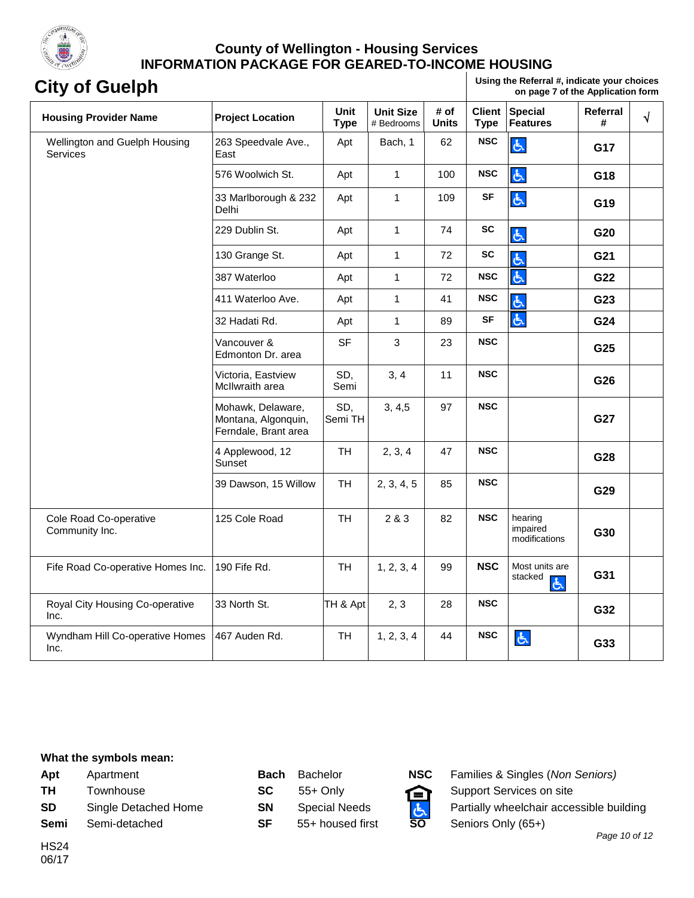

**City of Guelph Using the Referral #, indicate your choices on page 7 of the Application form**

| <b>Housing Provider Name</b>                     | <b>Project Location</b>                                          | Unit<br><b>Type</b> | <b>Unit Size</b><br># Bedrooms | # of<br><b>Units</b> | <b>Client</b><br><b>Type</b> | <b>Special</b><br><b>Features</b>    | Referral<br># | $\sqrt{ }$ |
|--------------------------------------------------|------------------------------------------------------------------|---------------------|--------------------------------|----------------------|------------------------------|--------------------------------------|---------------|------------|
| Wellington and Guelph Housing<br><b>Services</b> | 263 Speedvale Ave.,<br>East                                      | Apt                 | Bach, 1                        | 62                   | <b>NSC</b>                   | Ġ,                                   | G17           |            |
|                                                  | 576 Woolwich St.                                                 | Apt                 | $\mathbf{1}$                   | 100                  | <b>NSC</b>                   | 占                                    | G18           |            |
|                                                  | 33 Marlborough & 232<br>Delhi                                    | Apt                 | $\mathbf{1}$                   | 109                  | <b>SF</b>                    | 占                                    | G19           |            |
|                                                  | 229 Dublin St.                                                   | Apt                 | $\mathbf{1}$                   | 74                   | <b>SC</b>                    | 占                                    | G20           |            |
|                                                  | 130 Grange St.                                                   | Apt                 | $\mathbf{1}$                   | 72                   | <b>SC</b>                    | 占                                    | G21           |            |
|                                                  | 387 Waterloo                                                     | Apt                 | $\mathbf{1}$                   | 72                   | <b>NSC</b>                   | 占                                    | G22           |            |
|                                                  | 411 Waterloo Ave.                                                | Apt                 | $\mathbf{1}$                   | 41                   | <b>NSC</b>                   | 占                                    | G23           |            |
|                                                  | 32 Hadati Rd.                                                    | Apt                 | $\mathbf{1}$                   | 89                   | <b>SF</b>                    | 占                                    | G24           |            |
|                                                  | Vancouver &<br>Edmonton Dr. area                                 | <b>SF</b>           | 3                              | 23                   | <b>NSC</b>                   |                                      | G25           |            |
|                                                  | Victoria, Eastview<br>McIlwraith area                            | SD,<br>Semi         | 3, 4                           | 11                   | <b>NSC</b>                   |                                      | G26           |            |
|                                                  | Mohawk, Delaware,<br>Montana, Algonquin,<br>Ferndale, Brant area | SD,<br>Semi TH      | 3, 4, 5                        | 97                   | <b>NSC</b>                   |                                      | G27           |            |
|                                                  | 4 Applewood, 12<br>Sunset                                        | <b>TH</b>           | 2, 3, 4                        | 47                   | <b>NSC</b>                   |                                      | G28           |            |
|                                                  | 39 Dawson, 15 Willow                                             | <b>TH</b>           | 2, 3, 4, 5                     | 85                   | <b>NSC</b>                   |                                      | G29           |            |
| Cole Road Co-operative<br>Community Inc.         | 125 Cole Road                                                    | <b>TH</b>           | 2 & 3                          | 82                   | <b>NSC</b>                   | hearing<br>impaired<br>modifications | G30           |            |
| Fife Road Co-operative Homes Inc.                | 190 Fife Rd.                                                     | <b>TH</b>           | 1, 2, 3, 4                     | 99                   | <b>NSC</b>                   | Most units are<br>stacked<br>占       | G31           |            |
| Royal City Housing Co-operative<br>Inc.          | 33 North St.                                                     | TH & Apt            | 2, 3                           | 28                   | <b>NSC</b>                   |                                      | G32           |            |
| Wyndham Hill Co-operative Homes<br>Inc.          | 467 Auden Rd.                                                    | <b>TH</b>           | 1, 2, 3, 4                     | 44                   | <b>NSC</b>                   | $\mathfrak{G}$                       | G33           |            |

#### **What the symbols mean:**

**Semi** Semi-detached **SF** 55+ housed first **SO** Seniors Only (65+)

HS24

| Apt       | Apartment            | Bach      | <b>Bachelor</b>      | NSC. | Families & Singles (Non   |
|-----------|----------------------|-----------|----------------------|------|---------------------------|
| <b>TH</b> | Townhouse            | SC.       | 55+ Only             | 臼    | Support Services on site  |
| <b>SD</b> | Single Detached Home | <b>SN</b> | <b>Special Needs</b> |      | Partially wheelchair acce |
| Semi      | Semi-detached        | SF        | 55+ housed first     | SΟ   | Seniors Only (65+)        |



**Apt** Apartment **Bach** Bachelor **NSC** Families & Singles (*Non Seniors)* **SD** Single Detached Home **SN** Special Needs **Partially wheelchair accessible building**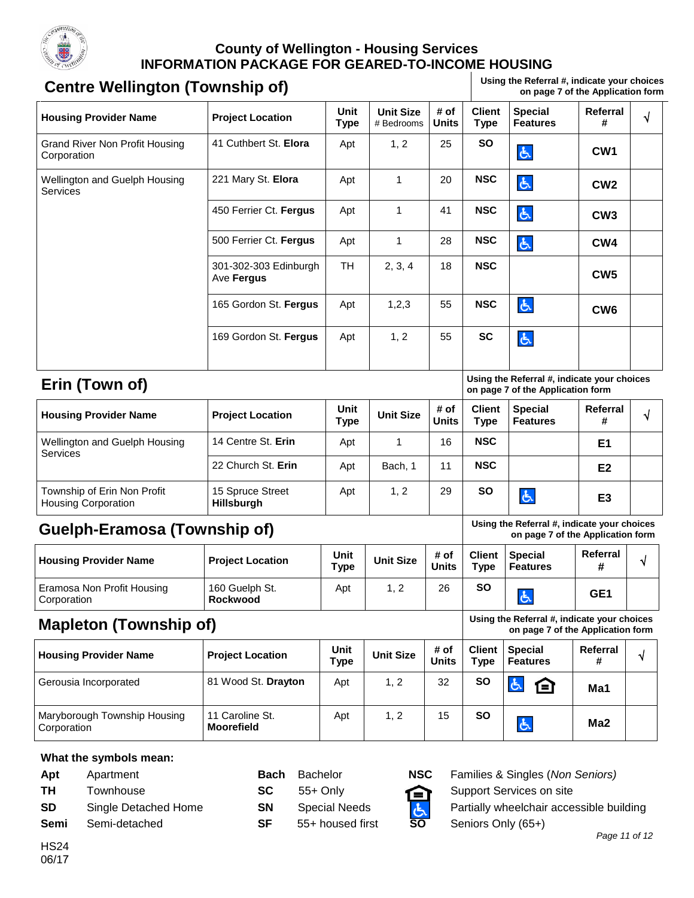

# **Centre Wellington (Township of)** Using the Referral #, indicate your choices **Centre Wellington (Township of)**

**on page 7 of the Application form** 

| <b>Housing Provider Name</b>                              | <b>Project Location</b>              | Unit<br><b>Type</b> | <b>Unit Size</b><br># Bedrooms | # of<br><b>Units</b> | <b>Client</b><br><b>Type</b> | <b>Special</b><br><b>Features</b>                                                | Referral<br>#        | $\sqrt{}$  |  |
|-----------------------------------------------------------|--------------------------------------|---------------------|--------------------------------|----------------------|------------------------------|----------------------------------------------------------------------------------|----------------------|------------|--|
| Grand River Non Profit Housing<br>Corporation             | 41 Cuthbert St. Elora                | Apt                 | 1, 2                           | 25                   | <b>SO</b>                    | Ġ,                                                                               | CW <sub>1</sub>      |            |  |
| Wellington and Guelph Housing<br><b>Services</b>          | 221 Mary St. Elora                   | Apt                 | 1                              | 20                   | <b>NSC</b>                   | 占                                                                                | CW <sub>2</sub>      |            |  |
|                                                           | 450 Ferrier Ct. Fergus               | Apt                 | 1                              | 41                   | <b>NSC</b>                   | 占                                                                                | CW <sub>3</sub>      |            |  |
|                                                           | 500 Ferrier Ct. Fergus               | Apt                 | 1                              | 28                   | <b>NSC</b>                   | 占                                                                                | CW4                  |            |  |
|                                                           | 301-302-303 Edinburgh<br>Ave Fergus  | <b>TH</b>           | 2, 3, 4                        | 18                   | <b>NSC</b>                   |                                                                                  | CW <sub>5</sub>      |            |  |
|                                                           | 165 Gordon St. Fergus                | Apt                 | 1,2,3                          | 55                   | <b>NSC</b>                   | 占                                                                                | CW <sub>6</sub>      |            |  |
|                                                           | 169 Gordon St. Fergus                | Apt                 | 1, 2                           | 55                   | <b>SC</b>                    | 占                                                                                |                      |            |  |
| Erin (Town of)                                            |                                      |                     |                                |                      |                              | Using the Referral #, indicate your choices<br>on page 7 of the Application form |                      |            |  |
| <b>Housing Provider Name</b>                              | <b>Project Location</b>              | Unit<br><b>Type</b> | <b>Unit Size</b>               | # of<br><b>Units</b> | <b>Client</b><br><b>Type</b> | <b>Special</b><br><b>Features</b>                                                | <b>Referral</b><br># | $\sqrt{ }$ |  |
| Wellington and Guelph Housing<br>Services                 | 14 Centre St. Erin                   | Apt                 | 1                              | 16                   | <b>NSC</b>                   |                                                                                  | E1                   |            |  |
|                                                           | 22 Church St. Erin                   | Apt                 | Bach, 1                        | 11                   | <b>NSC</b>                   |                                                                                  | E <sub>2</sub>       |            |  |
| Township of Erin Non Profit<br><b>Housing Corporation</b> | 15 Spruce Street<br>Hillsburgh       | Apt                 | 1, 2                           | 29                   | <b>SO</b>                    | 占                                                                                | E <sub>3</sub>       |            |  |
| <b>Guelph-Eramosa (Township of)</b>                       |                                      |                     |                                |                      |                              | Using the Referral #, indicate your choices<br>on page 7 of the Application form |                      |            |  |
| <b>Housing Provider Name</b>                              | <b>Project Location</b>              | Unit<br><b>Type</b> | <b>Unit Size</b>               | # of<br><b>Units</b> | <b>Client</b><br><b>Type</b> | <b>Special</b><br><b>Features</b>                                                | Referral<br>#        | √          |  |
| Eramosa Non Profit Housing<br>Corporation                 | 160 Guelph St.<br><b>Rockwood</b>    | Apt                 | 1, 2                           | 26                   | <b>SO</b>                    | ふ                                                                                | GE <sub>1</sub>      |            |  |
| <b>Mapleton (Township of)</b>                             |                                      |                     |                                |                      |                              | Using the Referral #, indicate your choices<br>on page 7 of the Application form |                      |            |  |
| <b>Housing Provider Name</b>                              | <b>Project Location</b>              | Unit<br><b>Type</b> | <b>Unit Size</b>               | # of<br><b>Units</b> | <b>Client</b><br><b>Type</b> | <b>Special</b><br><b>Features</b>                                                | Referral<br>#        | ٧          |  |
| Gerousia Incorporated                                     | 81 Wood St. Drayton                  | Apt                 | 1, 2                           | 32                   | SO                           | 占<br>臼                                                                           | Ma1                  |            |  |
| Maryborough Township Housing<br>Corporation               | 11 Caroline St.<br><b>Moorefield</b> | Apt                 | 1, 2                           | 15                   | <b>SO</b>                    | 占                                                                                | Ma <sub>2</sub>      |            |  |
| What the symbols mean:                                    |                                      |                     |                                |                      |                              |                                                                                  |                      |            |  |

**Apt** Apartment **Bach** Bachelor **NSC** Families & Singles (*Non Seniors)* **TH** Townhouse **SC** 55+ Only **C** Support Services on site **SD** Single Detached Home **SN** Special Needs **And Snutring** Partially wheelchair accessible building **Semi** Semi-detached **SF** 55+ housed first **SO** Seniors Only (65+)

HS24